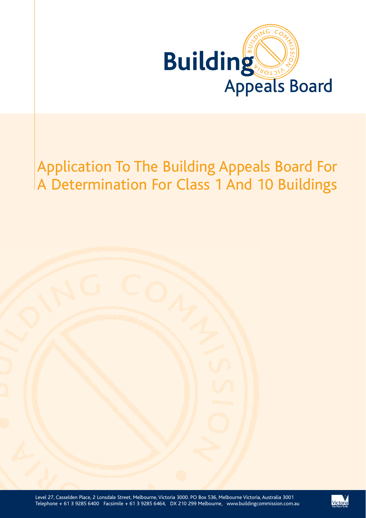

# Application To The Building Appeals Board For A Determination For Class 1 And 10 Buildings

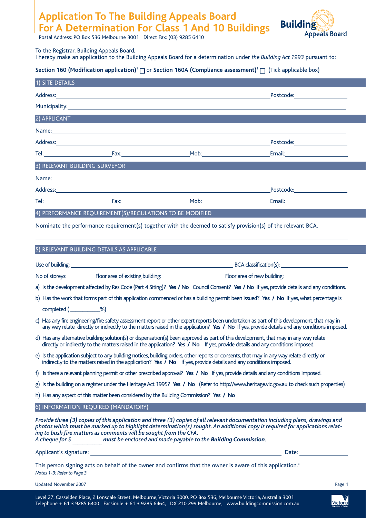# **Application To The Building Appeals Board For A Determination For Class 1 And 10 Buildings**



Postal Address: PO Box 536 Melbourne 3001 Direct Fax: (03) 9285 6410

## To the Registrar, Building Appeals Board,

I hereby make an application to the Building Appeals Board for a determination under *the Building Act 1993* pursuant to:

# **Section 160 (Modification application)<sup>1</sup> □ or Section 160A (Compliance assessment)<sup>2</sup> □ (Tick applicable box)**

| 1) SITE DETAILS                                                                                                                                                                                                                                                                                                                                                                                                    |  |                                                                                                                                                                                                                                      |                                                                                                                                         |  |
|--------------------------------------------------------------------------------------------------------------------------------------------------------------------------------------------------------------------------------------------------------------------------------------------------------------------------------------------------------------------------------------------------------------------|--|--------------------------------------------------------------------------------------------------------------------------------------------------------------------------------------------------------------------------------------|-----------------------------------------------------------------------------------------------------------------------------------------|--|
|                                                                                                                                                                                                                                                                                                                                                                                                                    |  | Address: <u>Address: Address: Address: Address: Address: Address: Address: Address: Address: Address: Address: Address: Address: Address: Address: Address: Address: Address: Address: Address: Address: Address: Address: Addre</u> | Postcode: Postcode:                                                                                                                     |  |
|                                                                                                                                                                                                                                                                                                                                                                                                                    |  |                                                                                                                                                                                                                                      |                                                                                                                                         |  |
| 2) APPLICANT                                                                                                                                                                                                                                                                                                                                                                                                       |  |                                                                                                                                                                                                                                      |                                                                                                                                         |  |
|                                                                                                                                                                                                                                                                                                                                                                                                                    |  | Name: Name: Name: Name: Name: Name: Name: Name: Name: Name: Name: Name: Name: Name: Name: Name: Name: Name: Name: Name: Name: Name: Name: Name: Name: Name: Name: Name: Name: Name: Name: Name: Name: Name: Name: Name: Name:        |                                                                                                                                         |  |
|                                                                                                                                                                                                                                                                                                                                                                                                                    |  |                                                                                                                                                                                                                                      |                                                                                                                                         |  |
|                                                                                                                                                                                                                                                                                                                                                                                                                    |  | Mob: Not and the Mobile of the Mobile of the Mobile of the Mobile of the Mobile of the Mobile of the Mobile of the Mobile of the Mobile of the Mobile of the Mobile of the Mobile of the Mobile of the Mobile of the Mobile of       | <b>Email:</b> ________________________                                                                                                  |  |
| 3) RELEVANT BUILDING SURVEYOR                                                                                                                                                                                                                                                                                                                                                                                      |  |                                                                                                                                                                                                                                      |                                                                                                                                         |  |
|                                                                                                                                                                                                                                                                                                                                                                                                                    |  |                                                                                                                                                                                                                                      |                                                                                                                                         |  |
|                                                                                                                                                                                                                                                                                                                                                                                                                    |  |                                                                                                                                                                                                                                      | Postcode:_____________________                                                                                                          |  |
|                                                                                                                                                                                                                                                                                                                                                                                                                    |  |                                                                                                                                                                                                                                      |                                                                                                                                         |  |
| 4) PERFORMANCE REQUIREMENT(S)/REGULATIONS TO BE MODIFIED                                                                                                                                                                                                                                                                                                                                                           |  |                                                                                                                                                                                                                                      |                                                                                                                                         |  |
|                                                                                                                                                                                                                                                                                                                                                                                                                    |  |                                                                                                                                                                                                                                      | Nominate the performance requirement(s) together with the deemed to satisfy provision(s) of the relevant BCA.                           |  |
|                                                                                                                                                                                                                                                                                                                                                                                                                    |  |                                                                                                                                                                                                                                      |                                                                                                                                         |  |
| 5) RELEVANT BUILDING DETAILS AS APPLICABLE                                                                                                                                                                                                                                                                                                                                                                         |  |                                                                                                                                                                                                                                      |                                                                                                                                         |  |
|                                                                                                                                                                                                                                                                                                                                                                                                                    |  |                                                                                                                                                                                                                                      |                                                                                                                                         |  |
|                                                                                                                                                                                                                                                                                                                                                                                                                    |  |                                                                                                                                                                                                                                      |                                                                                                                                         |  |
| a) Is the development affected by Res Code (Part 4 Siting)? Yes / No Council Consent? Yes / No If yes, provide details and any conditions.                                                                                                                                                                                                                                                                         |  |                                                                                                                                                                                                                                      |                                                                                                                                         |  |
|                                                                                                                                                                                                                                                                                                                                                                                                                    |  |                                                                                                                                                                                                                                      | b) Has the work that forms part of this application commenced or has a building permit been issued? Yes / No If yes, what percentage is |  |
| completed (___________%)                                                                                                                                                                                                                                                                                                                                                                                           |  |                                                                                                                                                                                                                                      |                                                                                                                                         |  |
| c) Has any fire engineering/fire safety assessment report or other expert reports been undertaken as part of this development, that may in<br>any way relate directly or indirectly to the matters raised in the application? Yes / No If yes, provide details and any conditions imposed.                                                                                                                         |  |                                                                                                                                                                                                                                      |                                                                                                                                         |  |
| d) Has any alternative building solution(s) or dispensation(s) been approved as part of this development, that may in any way relate<br>directly or indirectly to the matters raised in the application? Yes / No If yes, provide details and any conditions imposed.                                                                                                                                              |  |                                                                                                                                                                                                                                      |                                                                                                                                         |  |
| e) Is the application subject to any building notices, building orders, other reports or consents, that may in any way relate directly or<br>indirectly to the matters raised in the application? Yes $\bar{I}$ No If yes, provide details and any conditions imposed.                                                                                                                                             |  |                                                                                                                                                                                                                                      |                                                                                                                                         |  |
| f) Is there a relevant planning permit or other prescribed approval? Yes / No If yes, provide details and any conditions imposed.                                                                                                                                                                                                                                                                                  |  |                                                                                                                                                                                                                                      |                                                                                                                                         |  |
| g) Is the building on a register under the Heritage Act 1995? Yes / No (Refer to http://www.heritage.vic.gov.au to check such properties)                                                                                                                                                                                                                                                                          |  |                                                                                                                                                                                                                                      |                                                                                                                                         |  |
| h) Has any aspect of this matter been considered by the Building Commission? Yes / No                                                                                                                                                                                                                                                                                                                              |  |                                                                                                                                                                                                                                      |                                                                                                                                         |  |
| 6) INFORMATION REQUIRED (MANDATORY)                                                                                                                                                                                                                                                                                                                                                                                |  |                                                                                                                                                                                                                                      |                                                                                                                                         |  |
| Provide three (3) copies of this application and three (3) copies of all relevant documentation including plans, drawings and<br>photos which must be marked up to highlight determination(s) sought. An additional copy is required for applications relat-<br>ing to bush fire matters as comments will be sought from the CFA.<br>A cheque for \$ must be enclosed and made payable to the Building Commission. |  |                                                                                                                                                                                                                                      |                                                                                                                                         |  |
|                                                                                                                                                                                                                                                                                                                                                                                                                    |  |                                                                                                                                                                                                                                      | Date: <u>_______________________</u>                                                                                                    |  |
|                                                                                                                                                                                                                                                                                                                                                                                                                    |  |                                                                                                                                                                                                                                      |                                                                                                                                         |  |

This person signing acts on behalf of the owner and confirms that the owner is aware of this application.<sup>3</sup> *Notes 1-3: Refer to Page 3*

Updated November 2007 Page 1



Victoria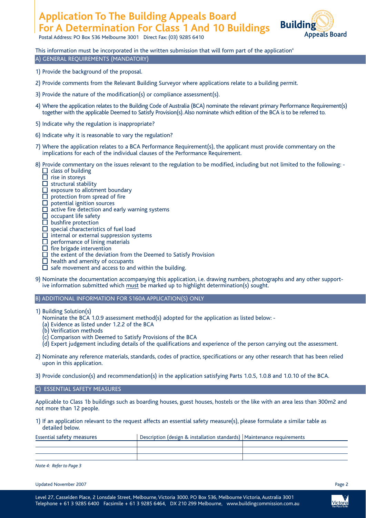# **Application To The Building Appeals Board For A Determination For Class 1 And 10 Buildings**





# This information must be incorporated in the written submission that will form part of the application<sup>4</sup> A) GENERAL REQUIREMENTS (MANDATORY)

- 1) Provide the background of the proposal.
- 2) Provide comments from the Relevant Building Surveyor where applications relate to a building permit.
- 3) Provide the nature of the modification(s) or compliance assessment(s).
- 4) Where the application relates to the Building Code of Australia (BCA) nominate the relevant primary Performance Requirement(s) together with the applicable Deemed to Satisfy Provision(s). Also nominate which edition of the BCA is to be referred to.
- 5) Indicate why the regulation is inappropriate?
- 6) Indicate why it is reasonable to vary the regulation?
- 7) Where the application relates to a BCA Performance Requirement(s), the applicant must provide commentary on the implications for each of the individual clauses of the Performance Requirement.
- 8) Provide commentary on the issues relevant to the regulation to be modified, including but not limited to the following: - $\Box$  class of building
	- $\Box$  rise in storeys
	- $\Box$  structural stability
	- $\square$  exposure to allotment boundary
	- protection from spread of fire
	- potential ignition sources
	- $\Box$  active fire detection and early warning systems
	- $\Box$  occupant life safety
	- $\square$  bushfire protection
	- $\Box$  special characteristics of fuel load
	- $\Box$  internal or external suppression systems
	- performance of lining materials
	- fire brigade intervention
	- $\Box$  the extent of the deviation from the Deemed to Satisfy Provision
	- $\Box$  health and amenity of occupants
	- $\Box$  safe movement and access to and within the building.
- 9) Nominate the documentation accompanying this application, i.e. drawing numbers, photographs and any other supportive information submitted which must be marked up to highlight determination(s) sought.

## B) ADDITIONAL INFORMATION FOR S160A APPLICATION(S) ONLY

- 1) Building Solution(s)
	- Nominate the BCA 1.0.9 assessment method(s) adopted for the application as listed below: -
	- (a) Evidence as listed under 1.2.2 of the BCA
	- (b) Verification methods
	- (c) Comparison with Deemed to Satisfy Provisions of the BCA
	- (d) Expert judgement including details of the qualifications and experience of the person carrying out the assessment.
- 2) Nominate any reference materials, standards, codes of practice, specifications or any other research that has been relied upon in this application.
- 3) Provide conclusion(s) and recommendation(s) in the application satisfying Parts 1.0.5, 1.0.8 and 1.0.10 of the BCA.

#### C) ESSENTIAL SAFETY MEASURES

Applicable to Class 1b buildings such as boarding houses, guest houses, hostels or the like with an area less than 300m2 and not more than 12 people.

1) If an application relevant to the request affects an essential safety measure(s), please formulate a similar table as detailed below.

| <b>Essential safety measures</b> | Description (design & installation standards)   Maintenance requirements |  |
|----------------------------------|--------------------------------------------------------------------------|--|
|                                  |                                                                          |  |
|                                  |                                                                          |  |
|                                  |                                                                          |  |

*Note 4: Refer to Page 3*

Updated November 2007 Page 2